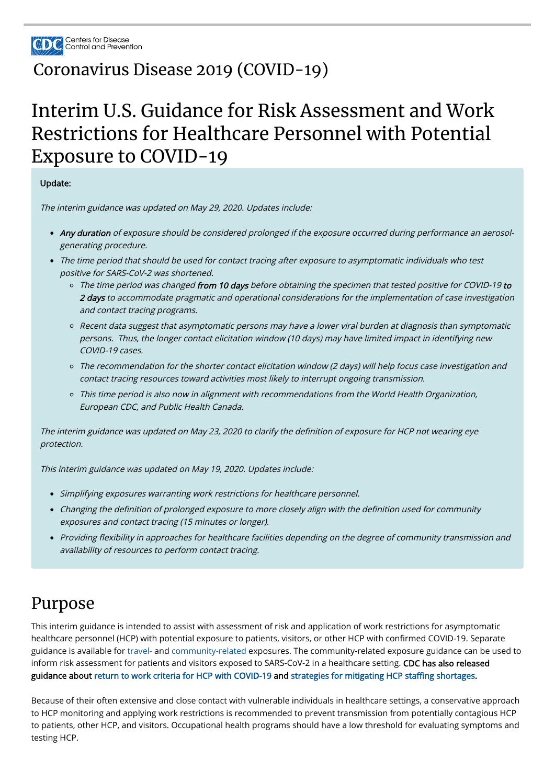

#### [Coronavirus](https://www.cdc.gov/coronavirus/2019-nCoV/index.html) Disease 2019 (COVID-19)

# Interim U.S. Guidance for Risk Assessment and Work Restrictions for Healthcare Personnel with Potential Exposure to COVID-19

Update:

The interim guidance was updated on May 29, 2020. Updates include:

- Any duration of exposure should be considered prolonged if the exposure occurred during performance an aerosolgenerating procedure.
- The time period that should be used for contact tracing after exposure to asymptomatic individuals who test positive for SARS-CoV-2 was shortened.
	- o The time period was changed from 10 days before obtaining the specimen that tested positive for COVID-19 to 2 days to accommodate pragmatic and operational considerations for the implementation of case investigation and contact tracing programs.
	- Recent data suggest that asymptomatic persons may have a lower viral burden at diagnosis than symptomatic persons. Thus, the longer contact elicitation window (10 days) may have limited impact in identifying new COVID-19 cases.
	- The recommendation for the shorter contact elicitation window (2 days) will help focus case investigation and contact tracing resources toward activities most likely to interrupt ongoing transmission.
	- o This time period is also now in alignment with recommendations from the World Health Organization, European CDC, and Public Health Canada.

The interim guidance was updated on May 23, 2020 to clarify the definition of exposure for HCP not wearing eye protection.

This interim guidance is intended to assist with assessment of risk and application of work restrictions for asymptomatic healthcare personnel (HCP) with potential exposure to patients, visitors, or other HCP with confirmed COVID-19. Separate guidance is available for [travel-](https://www.cdc.gov/coronavirus/2019-ncov/php/risk-assessment.html) and [community-related](https://www.cdc.gov/coronavirus/2019-ncov/php/public-health-recommendations.html) exposures. The community-related exposure guidance can be used to inform risk assessment for patients and visitors exposed to SARS-CoV-2 in a healthcare setting. CDC has also released guidance about [return to work criteria for HCP with COVID-19](https://www.cdc.gov/coronavirus/2019-ncov/hcp/return-to-work.html?CDC_AA_refVal=https%3A%2F%2Fwww.cdc.gov%2Fcoronavirus%2F2019-ncov%2Fhealthcare-facilities%2Fhcp-return-work.html) and strategies for mitigating HCP staffing shortages.

This interim guidance was updated on May 19, 2020. Updates include:

- Simplifying exposures warranting work restrictions for healthcare personnel.
- Changing the definition of prolonged exposure to more closely align with the definition used for community exposures and contact tracing (15 minutes or longer).
- Providing flexibility in approaches for healthcare facilities depending on the degree of community transmission and availability of resources to perform contact tracing.

#### Purpose

Because of their often extensive and close contact with vulnerable individuals in healthcare settings, a conservative approach to HCP monitoring and applying work restrictions is recommended to prevent transmission from potentially contagious HCP to patients, other HCP, and visitors. Occupational health programs should have a low threshold for evaluating symptoms and testing HCP.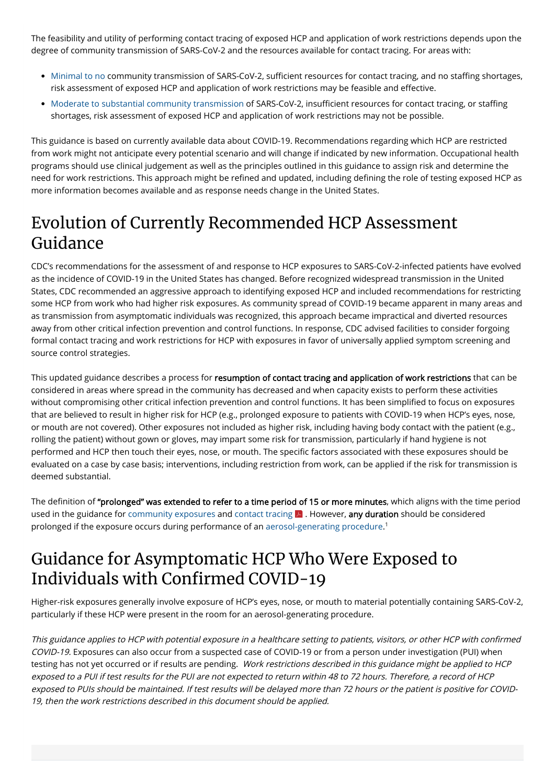The feasibility and utility of performing contact tracing of exposed HCP and application of work restrictions depends upon the degree of community transmission of SARS-CoV-2 and the resources available for contact tracing. For areas with:

- [Minimal to no](https://www.cdc.gov/coronavirus/2019-ncov/hcp/framework-non-COVID-care.html) community transmission of SARS-CoV-2, sufficient resources for contact tracing, and no staffing shortages, risk assessment of exposed HCP and application of work restrictions may be feasible and effective.
- [Moderate to substantial community transmission](https://www.cdc.gov/coronavirus/2019-ncov/hcp/framework-non-COVID-care.html) of SARS-CoV-2, insufficient resources for contact tracing, or staffing shortages, risk assessment of exposed HCP and application of work restrictions may not be possible.

This guidance is based on currently available data about COVID-19. Recommendations regarding which HCP are restricted from work might not anticipate every potential scenario and will change if indicated by new information. Occupational health programs should use clinical judgement as well as the principles outlined in this guidance to assign risk and determine the need for work restrictions. This approach might be refined and updated, including defining the role of testing exposed HCP as more information becomes available and as response needs change in the United States.

### Evolution of Currently Recommended HCP Assessment Guidance

This updated guidance describes a process for resumption of contact tracing and application of work restrictions that can be considered in areas where spread in the community has decreased and when capacity exists to perform these activities without compromising other critical infection prevention and control functions. It has been simplified to focus on exposures that are believed to result in higher risk for HCP (e.g., prolonged exposure to patients with COVID-19 when HCP's eyes, nose, or mouth are not covered). Other exposures not included as higher risk, including having body contact with the patient (e.g., rolling the patient) without gown or gloves, may impart some risk for transmission, particularly if hand hygiene is not performed and HCP then touch their eyes, nose, or mouth. The specific factors associated with these exposures should be evaluated on a case by case basis; interventions, including restriction from work, can be applied if the risk for transmission is deemed substantial.

CDC's recommendations for the assessment of and response to HCP exposures to SARS-CoV-2-infected patients have evolved as the incidence of COVID-19 in the United States has changed. Before recognized widespread transmission in the United States, CDC recommended an aggressive approach to identifying exposed HCP and included recommendations for restricting some HCP from work who had higher risk exposures. As community spread of COVID-19 became apparent in many areas and as transmission from asymptomatic individuals was recognized, this approach became impractical and diverted resources away from other critical infection prevention and control functions. In response, CDC advised facilities to consider forgoing formal contact tracing and work restrictions for HCP with exposures in favor of universally applied symptom screening and source control strategies.

#### Guidance for Asymptomatic HCP Who Were Exposed to Individuals with Confirmed COVID-19

This guidance applies to HCP with potential exposure in a healthcare setting to patients, visitors, or other HCP with confirmed COVID-19. Exposures can also occur from a suspected case of COVID-19 or from a person under investigation (PUI) when testing has not yet occurred or if results are pending. Work restrictions described in this guidance might be applied to HCP exposed to a PUI if test results for the PUI are not expected to return within 48 to 72 hours. Therefore, a record of HCP exposed to PUIs should be maintained. If test results will be delayed more than 72 hours or the patient is positive for COVID-19, then the work restrictions described in this document should be applied.

The definition of "prolonged" was extended to refer to a time period of 15 or more minutes, which aligns with the time period used in the guidance for [community exposures](https://www.cdc.gov/coronavirus/2019-ncov/php/public-health-recommendations.html) and [contact tracing](https://www.cdc.gov/coronavirus/2019-ncov/downloads/case-investigation-contact-tracing.pdf)  $\blacktriangleright$  . However, any duration should be considered prolonged if the exposure occurs during performance of an [aerosol-generating procedure](https://www.cdc.gov/coronavirus/2019-ncov/hcp/infection-control-faq.html). 1

Higher-risk exposures generally involve exposure of HCP's eyes, nose, or mouth to material potentially containing SARS-CoV-2, particularly if these HCP were present in the room for an aerosol-generating procedure.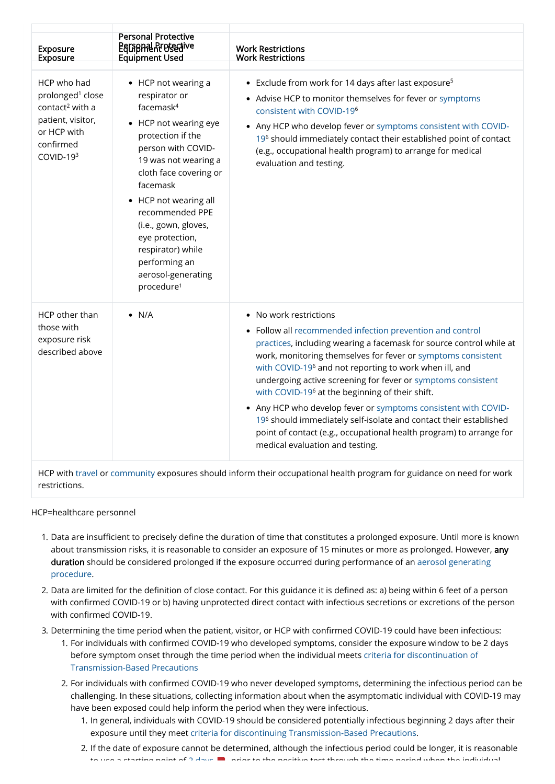restrictions.

- 1. Data are insufficient to precisely define the duration of time that constitutes a prolonged exposure. Until more is known about transmission risks, it is reasonable to consider an exposure of 15 minutes or more as prolonged. However, any [duration should be considered prolonged if the exposure occurred during performance of an aerosol generating](https://www.cdc.gov/coronavirus/2019-ncov/hcp/infection-control-faq.html) procedure.
- 2. Data are limited for the definition of close contact. For this guidance it is defined as: a) being within 6 feet of a person with confirmed COVID-19 or b) having unprotected direct contact with infectious secretions or excretions of the person with confirmed COVID-19.
- 3. Determining the time period when the patient, visitor, or HCP with confirmed COVID-19 could have been infectious: 1. For individuals with confirmed COVID-19 who developed symptoms, consider the exposure window to be 2 days [before symptom onset through the time period when the individual meets criteria for discontinuation of](https://www.cdc.gov/coronavirus/2019-ncov/hcp/disposition-hospitalized-patients.html) Transmission-Based Precautions
	- 2. For individuals with confirmed COVID-19 who never developed symptoms, determining the infectious period can be challenging. In these situations, collecting information about when the asymptomatic individual with COVID-19 may have been exposed could help inform the period when they were infectious.
		- 1. In general, individuals with COVID-19 should be considered potentially infectious beginning 2 days after their exposure until they meet [criteria for discontinuing Transmission-Based Precautions](https://www.cdc.gov/coronavirus/2019-ncov/hcp/disposition-hospitalized-patients.html).
		- 2. If the date of exposure cannot be determined, although the infectious period could be longer, it is reasonable to use a starting point of 2 [days](https://www.cdc.gov/coronavirus/2019-ncov/downloads/case-investigation-contact-tracing.pdf) <mark>pr</mark>ior to the positive test through the time period when the individual the individual the individual the section of  $\sim$

HCP=healthcare personnel

| <b>Exposure</b><br><b>Exposure</b>                                                                                                         | <b>Personal Protective</b><br><b>EGLAPHAL Arefective</b><br><b>Equipment Used</b>                                                                                                                                                                                                                                                                                  | <b>Work Restrictions</b><br><b>Work Restrictions</b>                                                                                                                                                                                                                                                                                                                                                                                                                                                                                                                                                                                                                             |
|--------------------------------------------------------------------------------------------------------------------------------------------|--------------------------------------------------------------------------------------------------------------------------------------------------------------------------------------------------------------------------------------------------------------------------------------------------------------------------------------------------------------------|----------------------------------------------------------------------------------------------------------------------------------------------------------------------------------------------------------------------------------------------------------------------------------------------------------------------------------------------------------------------------------------------------------------------------------------------------------------------------------------------------------------------------------------------------------------------------------------------------------------------------------------------------------------------------------|
| HCP who had<br>prolonged <sup>1</sup> close<br>contact <sup>2</sup> with a<br>patient, visitor,<br>or HCP with<br>confirmed<br>$COVID-193$ | • HCP not wearing a<br>respirator or<br>facemas $k^4$<br>HCP not wearing eye<br>protection if the<br>person with COVID-<br>19 was not wearing a<br>cloth face covering or<br>facemask<br>• HCP not wearing all<br>recommended PPE<br>(i.e., gown, gloves,<br>eye protection,<br>respirator) while<br>performing an<br>aerosol-generating<br>procedure <sup>1</sup> | • Exclude from work for 14 days after last exposure <sup>5</sup><br>• Advise HCP to monitor themselves for fever or symptoms<br>consistent with COVID-19 <sup>6</sup><br>• Any HCP who develop fever or symptoms consistent with COVID-<br>196 should immediately contact their established point of contact<br>(e.g., occupational health program) to arrange for medical<br>evaluation and testing.                                                                                                                                                                                                                                                                            |
| HCP other than<br>those with<br>exposure risk<br>described above                                                                           | $\bullet$ N/A                                                                                                                                                                                                                                                                                                                                                      | • No work restrictions<br>• Follow all recommended infection prevention and control<br>practices, including wearing a facemask for source control while at<br>work, monitoring themselves for fever or symptoms consistent<br>with COVID-19 <sup>6</sup> and not reporting to work when ill, and<br>undergoing active screening for fever or symptoms consistent<br>with COVID-19 <sup>6</sup> at the beginning of their shift.<br>• Any HCP who develop fever or symptoms consistent with COVID-<br>196 should immediately self-isolate and contact their established<br>point of contact (e.g., occupational health program) to arrange for<br>medical evaluation and testing. |
| HCP with travel or community exposures should inform their occupational health program for guidance on need for work                       |                                                                                                                                                                                                                                                                                                                                                                    |                                                                                                                                                                                                                                                                                                                                                                                                                                                                                                                                                                                                                                                                                  |